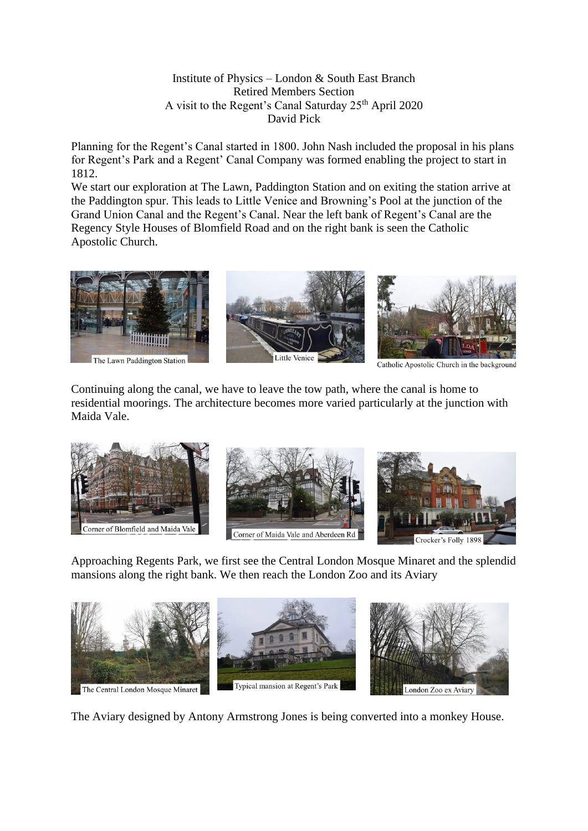Institute of Physics – London & South East Branch Retired Members Section A visit to the Regent's Canal Saturday  $25<sup>th</sup>$  April 2020 David Pick

Planning for the Regent's Canal started in 1800. John Nash included the proposal in his plans for Regent's Park and a Regent' Canal Company was formed enabling the project to start in 1812.

We start our exploration at The Lawn, Paddington Station and on exiting the station arrive at the Paddington spur. This leads to Little Venice and Browning's Pool at the junction of the Grand Union Canal and the Regent's Canal. Near the left bank of Regent's Canal are the Regency Style Houses of Blomfield Road and on the right bank is seen the Catholic Apostolic Church.



Catholic Apostolic Church in the background

Continuing along the canal, we have to leave the tow path, where the canal is home to residential moorings. The architecture becomes more varied particularly at the junction with Maida Vale.



Approaching Regents Park, we first see the Central London Mosque Minaret and the splendid mansions along the right bank. We then reach the London Zoo and its Aviary



The Aviary designed by Antony Armstrong Jones is being converted into a monkey House.